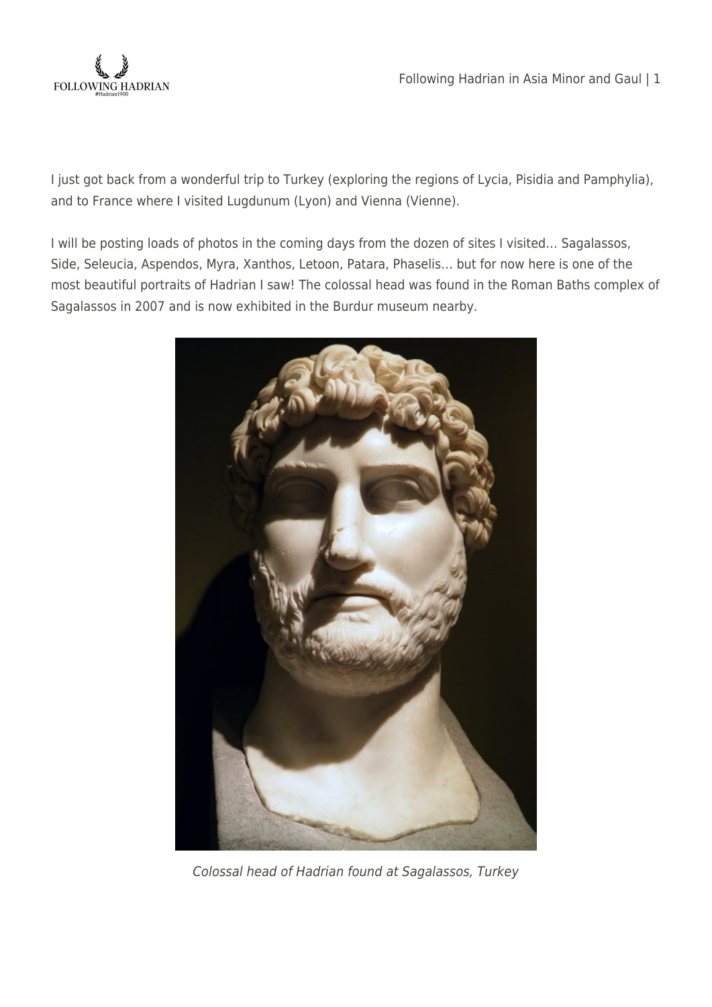

I just got back from a wonderful trip to Turkey (exploring the regions of Lycia, Pisidia and Pamphylia), and to France where I visited Lugdunum (Lyon) and Vienna (Vienne).

I will be posting loads of photos in the coming days from the dozen of sites I visited… Sagalassos, Side, Seleucia, Aspendos, Myra, Xanthos, Letoon, Patara, Phaselis… but for now here is one of the most beautiful portraits of Hadrian I saw! The colossal head was found in the Roman Baths complex of Sagalassos in 2007 and is now exhibited in the Burdur museum nearby.



Colossal head of Hadrian found at Sagalassos, Turkey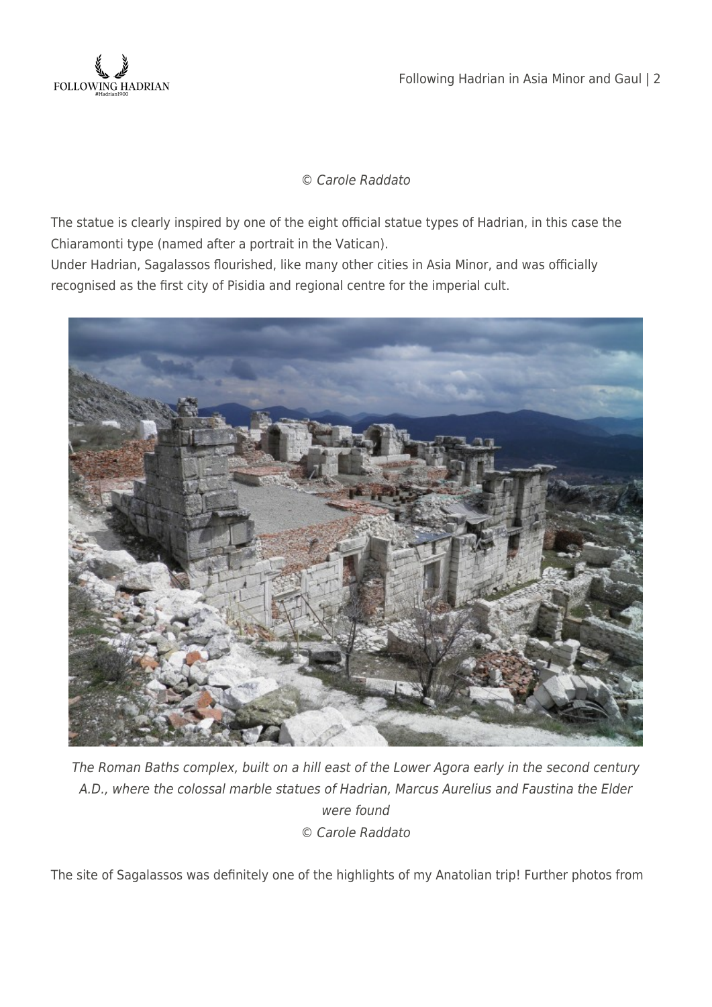

Following Hadrian in Asia Minor and Gaul | 2

## © Carole Raddato

The statue is clearly inspired by one of the eight official statue types of Hadrian, in this case the Chiaramonti type (named after a portrait in the Vatican).

Under Hadrian, Sagalassos flourished, like many other cities in Asia Minor, and was officially recognised as the first city of Pisidia and regional centre for the imperial cult.



The Roman Baths complex, built on a hill east of the Lower Agora early in the second century A.D., where the colossal marble statues of Hadrian, Marcus Aurelius and Faustina the Elder were found © Carole Raddato

The site of Sagalassos was definitely one of the highlights of my Anatolian trip! Further photos from